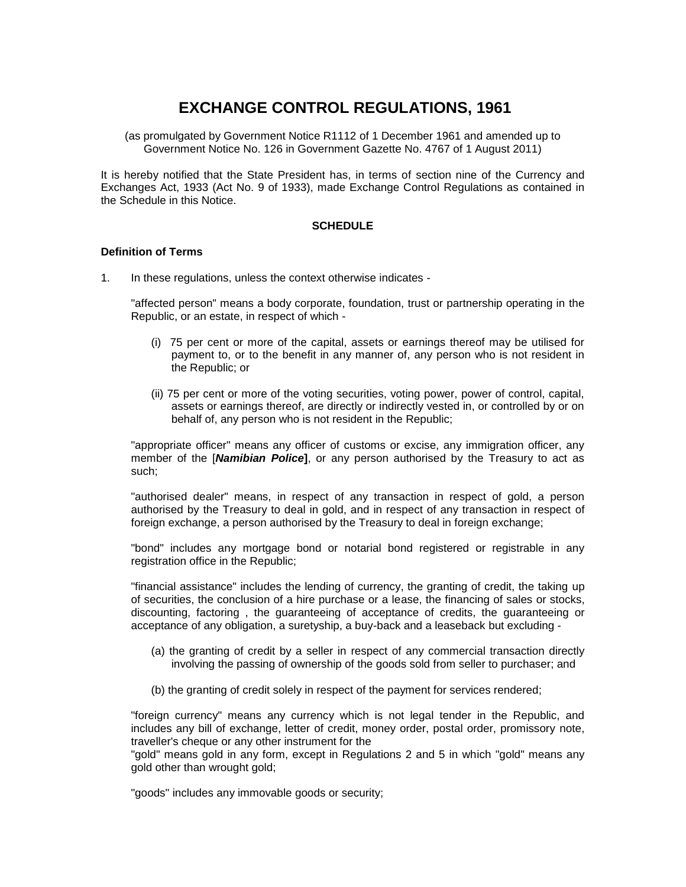# **EXCHANGE CONTROL REGULATIONS, 1961**

(as promulgated by Government Notice R1112 of 1 December 1961 and amended up to Government Notice No. 126 in Government Gazette No. 4767 of 1 August 2011)

It is hereby notified that the State President has, in terms of section nine of the Currency and Exchanges Act, 1933 (Act No. 9 of 1933), made Exchange Control Regulations as contained in the Schedule in this Notice.

### **SCHEDULE**

# **Definition of Terms**

1. In these regulations, unless the context otherwise indicates -

"affected person" means a body corporate, foundation, trust or partnership operating in the Republic, or an estate, in respect of which -

- (i) 75 per cent or more of the capital, assets or earnings thereof may be utilised for payment to, or to the benefit in any manner of, any person who is not resident in the Republic; or
- (ii) 75 per cent or more of the voting securities, voting power, power of control, capital, assets or earnings thereof, are directly or indirectly vested in, or controlled by or on behalf of, any person who is not resident in the Republic;

"appropriate officer" means any officer of customs or excise, any immigration officer, any member of the [*Namibian Police***]**, or any person authorised by the Treasury to act as such;

"authorised dealer" means, in respect of any transaction in respect of gold, a person authorised by the Treasury to deal in gold, and in respect of any transaction in respect of foreign exchange, a person authorised by the Treasury to deal in foreign exchange;

"bond" includes any mortgage bond or notarial bond registered or registrable in any registration office in the Republic;

"financial assistance" includes the lending of currency, the granting of credit, the taking up of securities, the conclusion of a hire purchase or a lease, the financing of sales or stocks, discounting, factoring , the guaranteeing of acceptance of credits, the guaranteeing or acceptance of any obligation, a suretyship, a buy-back and a leaseback but excluding -

- (a) the granting of credit by a seller in respect of any commercial transaction directly involving the passing of ownership of the goods sold from seller to purchaser; and
- (b) the granting of credit solely in respect of the payment for services rendered;

"foreign currency" means any currency which is not legal tender in the Republic, and includes any bill of exchange, letter of credit, money order, postal order, promissory note, traveller's cheque or any other instrument for the

"gold" means gold in any form, except in Regulations 2 and 5 in which "gold" means any gold other than wrought gold;

"goods" includes any immovable goods or security;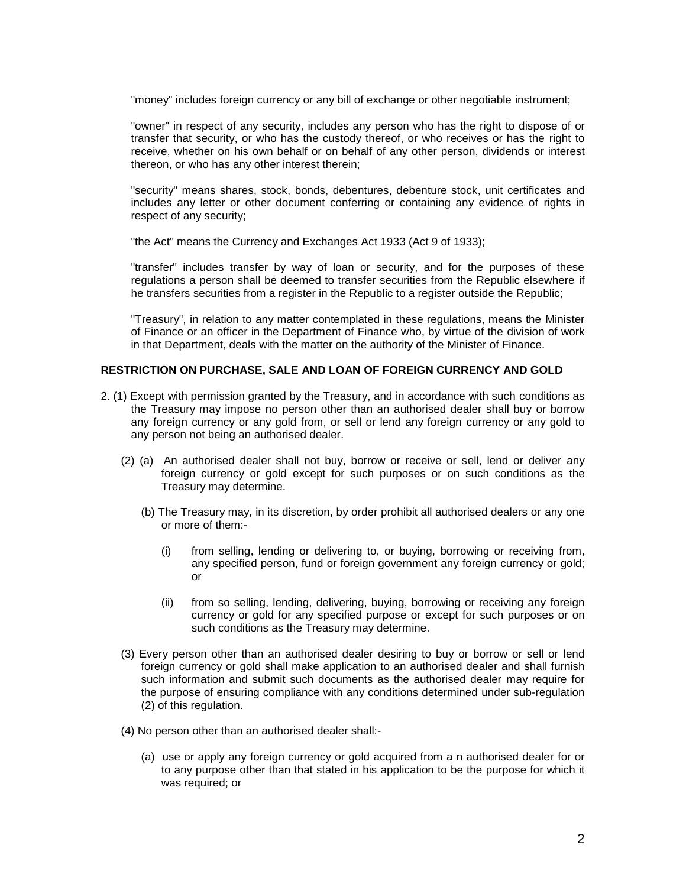"money" includes foreign currency or any bill of exchange or other negotiable instrument;

"owner" in respect of any security, includes any person who has the right to dispose of or transfer that security, or who has the custody thereof, or who receives or has the right to receive, whether on his own behalf or on behalf of any other person, dividends or interest thereon, or who has any other interest therein;

"security" means shares, stock, bonds, debentures, debenture stock, unit certificates and includes any letter or other document conferring or containing any evidence of rights in respect of any security;

"the Act" means the Currency and Exchanges Act 1933 (Act 9 of 1933);

"transfer" includes transfer by way of loan or security, and for the purposes of these regulations a person shall be deemed to transfer securities from the Republic elsewhere if he transfers securities from a register in the Republic to a register outside the Republic;

"Treasury", in relation to any matter contemplated in these regulations, means the Minister of Finance or an officer in the Department of Finance who, by virtue of the division of work in that Department, deals with the matter on the authority of the Minister of Finance.

# **RESTRICTION ON PURCHASE, SALE AND LOAN OF FOREIGN CURRENCY AND GOLD**

- 2. (1) Except with permission granted by the Treasury, and in accordance with such conditions as the Treasury may impose no person other than an authorised dealer shall buy or borrow any foreign currency or any gold from, or sell or lend any foreign currency or any gold to any person not being an authorised dealer.
	- (2) (a) An authorised dealer shall not buy, borrow or receive or sell, lend or deliver any foreign currency or gold except for such purposes or on such conditions as the Treasury may determine.
		- (b) The Treasury may, in its discretion, by order prohibit all authorised dealers or any one or more of them:-
			- (i) from selling, lending or delivering to, or buying, borrowing or receiving from, any specified person, fund or foreign government any foreign currency or gold; or
			- (ii) from so selling, lending, delivering, buying, borrowing or receiving any foreign currency or gold for any specified purpose or except for such purposes or on such conditions as the Treasury may determine.
	- (3) Every person other than an authorised dealer desiring to buy or borrow or sell or lend foreign currency or gold shall make application to an authorised dealer and shall furnish such information and submit such documents as the authorised dealer may require for the purpose of ensuring compliance with any conditions determined under sub-regulation (2) of this regulation.
	- (4) No person other than an authorised dealer shall:-
		- (a) use or apply any foreign currency or gold acquired from a n authorised dealer for or to any purpose other than that stated in his application to be the purpose for which it was required; or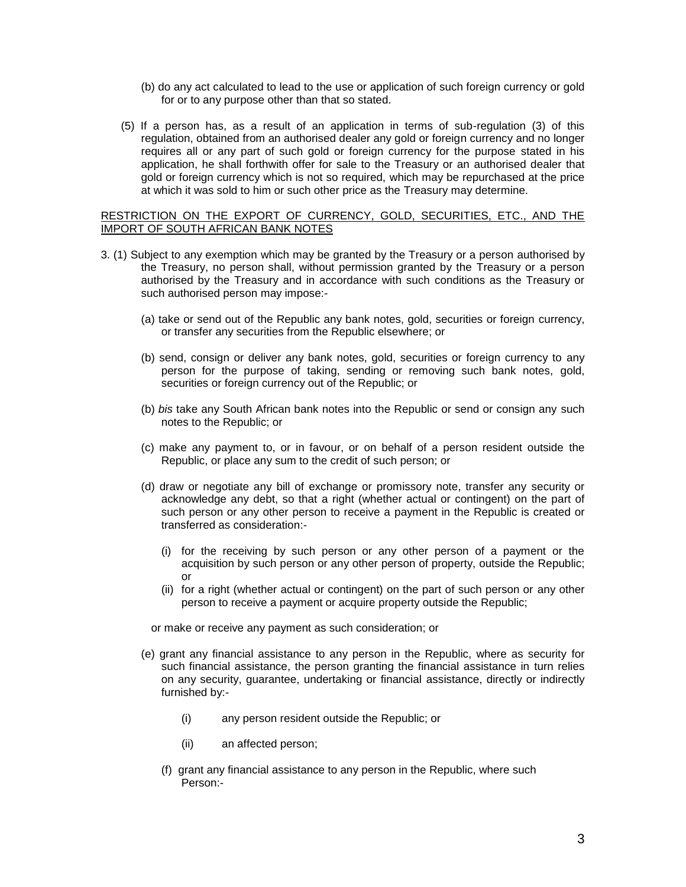- (b) do any act calculated to lead to the use or application of such foreign currency or gold for or to any purpose other than that so stated.
- (5) If a person has, as a result of an application in terms of sub-regulation (3) of this regulation, obtained from an authorised dealer any gold or foreign currency and no longer requires all or any part of such gold or foreign currency for the purpose stated in his application, he shall forthwith offer for sale to the Treasury or an authorised dealer that gold or foreign currency which is not so required, which may be repurchased at the price at which it was sold to him or such other price as the Treasury may determine.

# RESTRICTION ON THE EXPORT OF CURRENCY, GOLD, SECURITIES, ETC., AND THE IMPORT OF SOUTH AFRICAN BANK NOTES

- 3. (1) Subject to any exemption which may be granted by the Treasury or a person authorised by the Treasury, no person shall, without permission granted by the Treasury or a person authorised by the Treasury and in accordance with such conditions as the Treasury or such authorised person may impose:-
	- (a) take or send out of the Republic any bank notes, gold, securities or foreign currency, or transfer any securities from the Republic elsewhere; or
	- (b) send, consign or deliver any bank notes, gold, securities or foreign currency to any person for the purpose of taking, sending or removing such bank notes, gold, securities or foreign currency out of the Republic; or
	- (b) *bis* take any South African bank notes into the Republic or send or consign any such notes to the Republic; or
	- (c) make any payment to, or in favour, or on behalf of a person resident outside the Republic, or place any sum to the credit of such person; or
	- (d) draw or negotiate any bill of exchange or promissory note, transfer any security or acknowledge any debt, so that a right (whether actual or contingent) on the part of such person or any other person to receive a payment in the Republic is created or transferred as consideration:-
		- (i) for the receiving by such person or any other person of a payment or the acquisition by such person or any other person of property, outside the Republic; or
		- (ii) for a right (whether actual or contingent) on the part of such person or any other person to receive a payment or acquire property outside the Republic;

or make or receive any payment as such consideration; or

- (e) grant any financial assistance to any person in the Republic, where as security for such financial assistance, the person granting the financial assistance in turn relies on any security, guarantee, undertaking or financial assistance, directly or indirectly furnished by:-
	- (i) any person resident outside the Republic; or
	- (ii) an affected person;
	- (f) grant any financial assistance to any person in the Republic, where such Person:-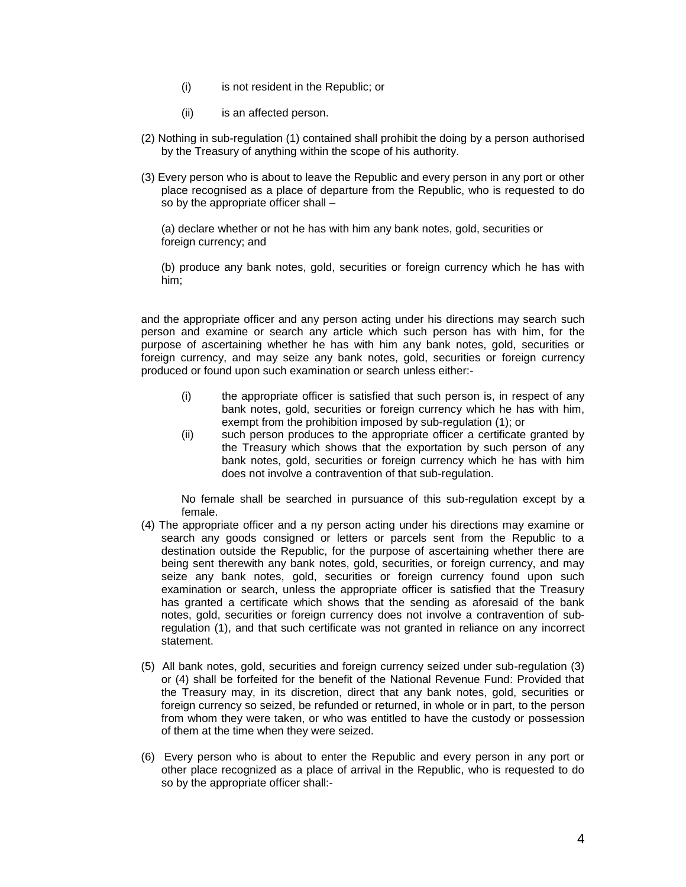- (i) is not resident in the Republic; or
- (ii) is an affected person.
- (2) Nothing in sub-regulation (1) contained shall prohibit the doing by a person authorised by the Treasury of anything within the scope of his authority.
- (3) Every person who is about to leave the Republic and every person in any port or other place recognised as a place of departure from the Republic, who is requested to do so by the appropriate officer shall –

(a) declare whether or not he has with him any bank notes, gold, securities or foreign currency; and

(b) produce any bank notes, gold, securities or foreign currency which he has with him;

and the appropriate officer and any person acting under his directions may search such person and examine or search any article which such person has with him, for the purpose of ascertaining whether he has with him any bank notes, gold, securities or foreign currency, and may seize any bank notes, gold, securities or foreign currency produced or found upon such examination or search unless either:-

- (i) the appropriate officer is satisfied that such person is, in respect of any bank notes, gold, securities or foreign currency which he has with him, exempt from the prohibition imposed by sub-regulation (1); or
- (ii) such person produces to the appropriate officer a certificate granted by the Treasury which shows that the exportation by such person of any bank notes, gold, securities or foreign currency which he has with him does not involve a contravention of that sub-regulation.

No female shall be searched in pursuance of this sub-regulation except by a female.

- (4) The appropriate officer and a ny person acting under his directions may examine or search any goods consigned or letters or parcels sent from the Republic to a destination outside the Republic, for the purpose of ascertaining whether there are being sent therewith any bank notes, gold, securities, or foreign currency, and may seize any bank notes, gold, securities or foreign currency found upon such examination or search, unless the appropriate officer is satisfied that the Treasury has granted a certificate which shows that the sending as aforesaid of the bank notes, gold, securities or foreign currency does not involve a contravention of subregulation (1), and that such certificate was not granted in reliance on any incorrect statement.
- (5) All bank notes, gold, securities and foreign currency seized under sub-regulation (3) or (4) shall be forfeited for the benefit of the National Revenue Fund: Provided that the Treasury may, in its discretion, direct that any bank notes, gold, securities or foreign currency so seized, be refunded or returned, in whole or in part, to the person from whom they were taken, or who was entitled to have the custody or possession of them at the time when they were seized.
- (6) Every person who is about to enter the Republic and every person in any port or other place recognized as a place of arrival in the Republic, who is requested to do so by the appropriate officer shall:-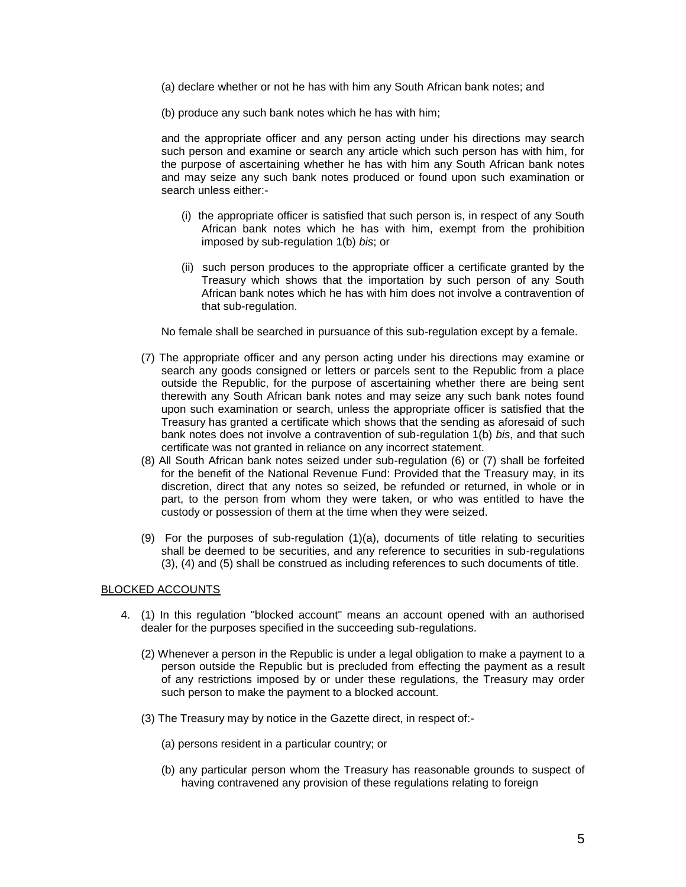- (a) declare whether or not he has with him any South African bank notes; and
- (b) produce any such bank notes which he has with him;

and the appropriate officer and any person acting under his directions may search such person and examine or search any article which such person has with him, for the purpose of ascertaining whether he has with him any South African bank notes and may seize any such bank notes produced or found upon such examination or search unless either:-

- (i) the appropriate officer is satisfied that such person is, in respect of any South African bank notes which he has with him, exempt from the prohibition imposed by sub-regulation 1(b) *bis*; or
- (ii) such person produces to the appropriate officer a certificate granted by the Treasury which shows that the importation by such person of any South African bank notes which he has with him does not involve a contravention of that sub-regulation.

No female shall be searched in pursuance of this sub-regulation except by a female.

- (7) The appropriate officer and any person acting under his directions may examine or search any goods consigned or letters or parcels sent to the Republic from a place outside the Republic, for the purpose of ascertaining whether there are being sent therewith any South African bank notes and may seize any such bank notes found upon such examination or search, unless the appropriate officer is satisfied that the Treasury has granted a certificate which shows that the sending as aforesaid of such bank notes does not involve a contravention of sub-regulation 1(b) *bis*, and that such certificate was not granted in reliance on any incorrect statement.
- (8) All South African bank notes seized under sub-regulation (6) or (7) shall be forfeited for the benefit of the National Revenue Fund: Provided that the Treasury may, in its discretion, direct that any notes so seized, be refunded or returned, in whole or in part, to the person from whom they were taken, or who was entitled to have the custody or possession of them at the time when they were seized.
- (9) For the purposes of sub-regulation (1)(a), documents of title relating to securities shall be deemed to be securities, and any reference to securities in sub-regulations (3), (4) and (5) shall be construed as including references to such documents of title.

# BLOCKED ACCOUNTS

- 4. (1) In this regulation "blocked account" means an account opened with an authorised dealer for the purposes specified in the succeeding sub-regulations.
	- (2) Whenever a person in the Republic is under a legal obligation to make a payment to a person outside the Republic but is precluded from effecting the payment as a result of any restrictions imposed by or under these regulations, the Treasury may order such person to make the payment to a blocked account.
	- (3) The Treasury may by notice in the Gazette direct, in respect of:-
		- (a) persons resident in a particular country; or
		- (b) any particular person whom the Treasury has reasonable grounds to suspect of having contravened any provision of these regulations relating to foreign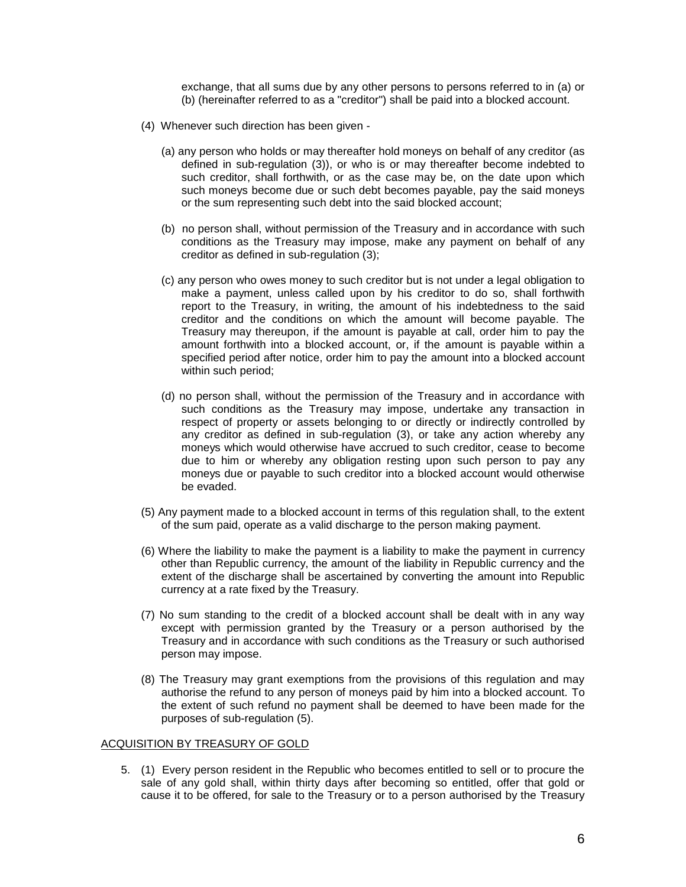exchange, that all sums due by any other persons to persons referred to in (a) or (b) (hereinafter referred to as a "creditor") shall be paid into a blocked account.

- (4) Whenever such direction has been given
	- (a) any person who holds or may thereafter hold moneys on behalf of any creditor (as defined in sub-regulation (3)), or who is or may thereafter become indebted to such creditor, shall forthwith, or as the case may be, on the date upon which such moneys become due or such debt becomes payable, pay the said moneys or the sum representing such debt into the said blocked account;
	- (b) no person shall, without permission of the Treasury and in accordance with such conditions as the Treasury may impose, make any payment on behalf of any creditor as defined in sub-regulation (3);
	- (c) any person who owes money to such creditor but is not under a legal obligation to make a payment, unless called upon by his creditor to do so, shall forthwith report to the Treasury, in writing, the amount of his indebtedness to the said creditor and the conditions on which the amount will become payable. The Treasury may thereupon, if the amount is payable at call, order him to pay the amount forthwith into a blocked account, or, if the amount is payable within a specified period after notice, order him to pay the amount into a blocked account within such period;
	- (d) no person shall, without the permission of the Treasury and in accordance with such conditions as the Treasury may impose, undertake any transaction in respect of property or assets belonging to or directly or indirectly controlled by any creditor as defined in sub-regulation (3), or take any action whereby any moneys which would otherwise have accrued to such creditor, cease to become due to him or whereby any obligation resting upon such person to pay any moneys due or payable to such creditor into a blocked account would otherwise be evaded.
- (5) Any payment made to a blocked account in terms of this regulation shall, to the extent of the sum paid, operate as a valid discharge to the person making payment.
- (6) Where the liability to make the payment is a liability to make the payment in currency other than Republic currency, the amount of the liability in Republic currency and the extent of the discharge shall be ascertained by converting the amount into Republic currency at a rate fixed by the Treasury.
- (7) No sum standing to the credit of a blocked account shall be dealt with in any way except with permission granted by the Treasury or a person authorised by the Treasury and in accordance with such conditions as the Treasury or such authorised person may impose.
- (8) The Treasury may grant exemptions from the provisions of this regulation and may authorise the refund to any person of moneys paid by him into a blocked account. To the extent of such refund no payment shall be deemed to have been made for the purposes of sub-regulation (5).

#### ACQUISITION BY TREASURY OF GOLD

5. (1) Every person resident in the Republic who becomes entitled to sell or to procure the sale of any gold shall, within thirty days after becoming so entitled, offer that gold or cause it to be offered, for sale to the Treasury or to a person authorised by the Treasury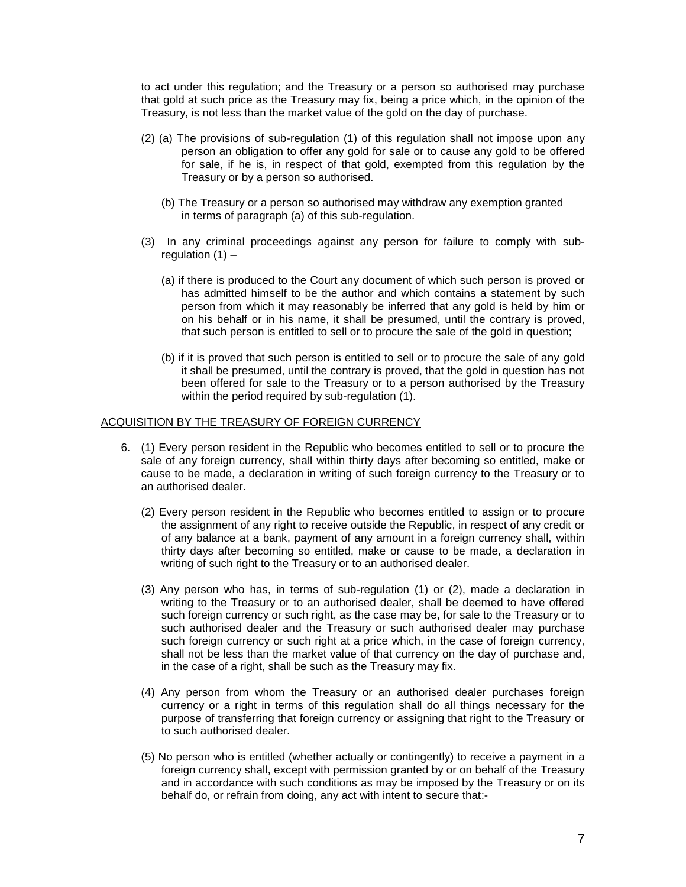to act under this regulation; and the Treasury or a person so authorised may purchase that gold at such price as the Treasury may fix, being a price which, in the opinion of the Treasury, is not less than the market value of the gold on the day of purchase.

- (2) (a) The provisions of sub-regulation (1) of this regulation shall not impose upon any person an obligation to offer any gold for sale or to cause any gold to be offered for sale, if he is, in respect of that gold, exempted from this regulation by the Treasury or by a person so authorised.
	- (b) The Treasury or a person so authorised may withdraw any exemption granted in terms of paragraph (a) of this sub-regulation.
- (3) In any criminal proceedings against any person for failure to comply with subregulation  $(1)$  –
	- (a) if there is produced to the Court any document of which such person is proved or has admitted himself to be the author and which contains a statement by such person from which it may reasonably be inferred that any gold is held by him or on his behalf or in his name, it shall be presumed, until the contrary is proved, that such person is entitled to sell or to procure the sale of the gold in question;
	- (b) if it is proved that such person is entitled to sell or to procure the sale of any gold it shall be presumed, until the contrary is proved, that the gold in question has not been offered for sale to the Treasury or to a person authorised by the Treasury within the period required by sub-requiation (1).

# ACQUISITION BY THE TREASURY OF FOREIGN CURRENCY

- 6. (1) Every person resident in the Republic who becomes entitled to sell or to procure the sale of any foreign currency, shall within thirty days after becoming so entitled, make or cause to be made, a declaration in writing of such foreign currency to the Treasury or to an authorised dealer.
	- (2) Every person resident in the Republic who becomes entitled to assign or to procure the assignment of any right to receive outside the Republic, in respect of any credit or of any balance at a bank, payment of any amount in a foreign currency shall, within thirty days after becoming so entitled, make or cause to be made, a declaration in writing of such right to the Treasury or to an authorised dealer.
	- (3) Any person who has, in terms of sub-regulation (1) or (2), made a declaration in writing to the Treasury or to an authorised dealer, shall be deemed to have offered such foreign currency or such right, as the case may be, for sale to the Treasury or to such authorised dealer and the Treasury or such authorised dealer may purchase such foreign currency or such right at a price which, in the case of foreign currency, shall not be less than the market value of that currency on the day of purchase and, in the case of a right, shall be such as the Treasury may fix.
	- (4) Any person from whom the Treasury or an authorised dealer purchases foreign currency or a right in terms of this regulation shall do all things necessary for the purpose of transferring that foreign currency or assigning that right to the Treasury or to such authorised dealer.
	- (5) No person who is entitled (whether actually or contingently) to receive a payment in a foreign currency shall, except with permission granted by or on behalf of the Treasury and in accordance with such conditions as may be imposed by the Treasury or on its behalf do, or refrain from doing, any act with intent to secure that:-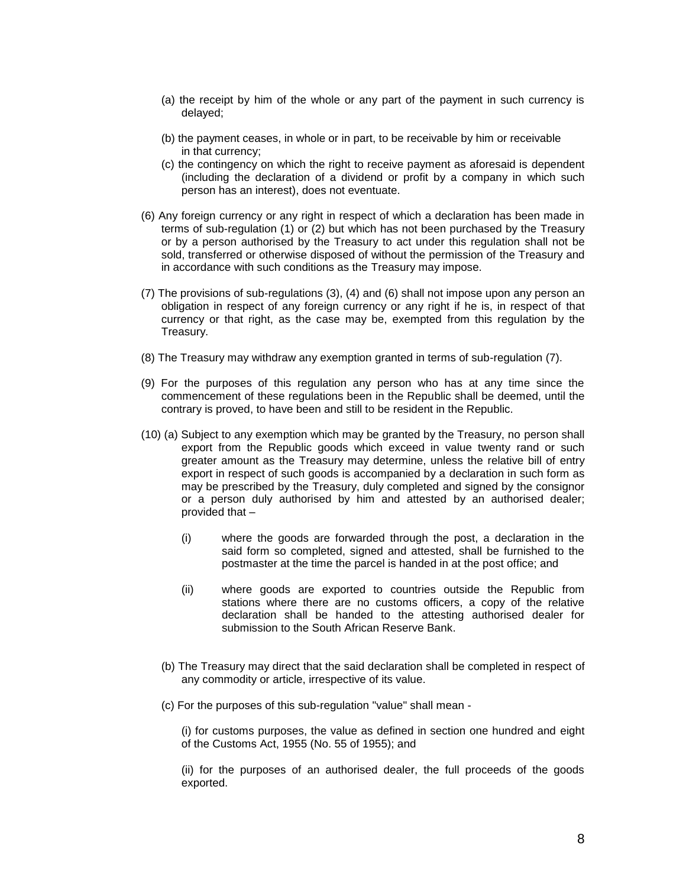- (a) the receipt by him of the whole or any part of the payment in such currency is delayed;
- (b) the payment ceases, in whole or in part, to be receivable by him or receivable in that currency;
- (c) the contingency on which the right to receive payment as aforesaid is dependent (including the declaration of a dividend or profit by a company in which such person has an interest), does not eventuate.
- (6) Any foreign currency or any right in respect of which a declaration has been made in terms of sub-regulation (1) or (2) but which has not been purchased by the Treasury or by a person authorised by the Treasury to act under this regulation shall not be sold, transferred or otherwise disposed of without the permission of the Treasury and in accordance with such conditions as the Treasury may impose.
- (7) The provisions of sub-regulations (3), (4) and (6) shall not impose upon any person an obligation in respect of any foreign currency or any right if he is, in respect of that currency or that right, as the case may be, exempted from this regulation by the Treasury.
- (8) The Treasury may withdraw any exemption granted in terms of sub-regulation (7).
- (9) For the purposes of this regulation any person who has at any time since the commencement of these regulations been in the Republic shall be deemed, until the contrary is proved, to have been and still to be resident in the Republic.
- (10) (a) Subject to any exemption which may be granted by the Treasury, no person shall export from the Republic goods which exceed in value twenty rand or such greater amount as the Treasury may determine, unless the relative bill of entry export in respect of such goods is accompanied by a declaration in such form as may be prescribed by the Treasury, duly completed and signed by the consignor or a person duly authorised by him and attested by an authorised dealer; provided that –
	- (i) where the goods are forwarded through the post, a declaration in the said form so completed, signed and attested, shall be furnished to the postmaster at the time the parcel is handed in at the post office; and
	- (ii) where goods are exported to countries outside the Republic from stations where there are no customs officers, a copy of the relative declaration shall be handed to the attesting authorised dealer for submission to the South African Reserve Bank.
	- (b) The Treasury may direct that the said declaration shall be completed in respect of any commodity or article, irrespective of its value.
	- (c) For the purposes of this sub-regulation "value" shall mean -

(i) for customs purposes, the value as defined in section one hundred and eight of the Customs Act, 1955 (No. 55 of 1955); and

(ii) for the purposes of an authorised dealer, the full proceeds of the goods exported.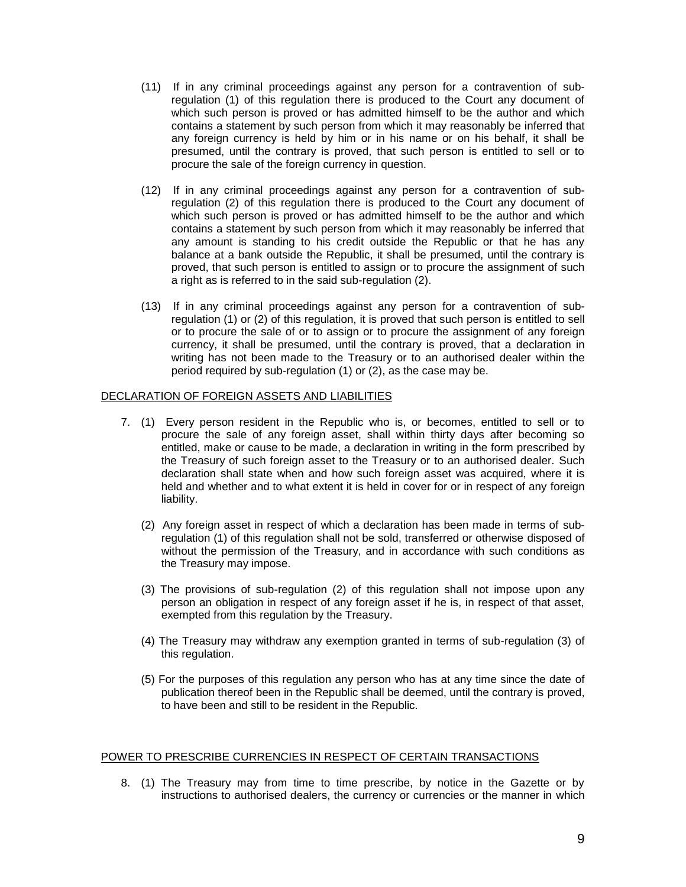- (11) If in any criminal proceedings against any person for a contravention of subregulation (1) of this regulation there is produced to the Court any document of which such person is proved or has admitted himself to be the author and which contains a statement by such person from which it may reasonably be inferred that any foreign currency is held by him or in his name or on his behalf, it shall be presumed, until the contrary is proved, that such person is entitled to sell or to procure the sale of the foreign currency in question.
- (12) If in any criminal proceedings against any person for a contravention of subregulation (2) of this regulation there is produced to the Court any document of which such person is proved or has admitted himself to be the author and which contains a statement by such person from which it may reasonably be inferred that any amount is standing to his credit outside the Republic or that he has any balance at a bank outside the Republic, it shall be presumed, until the contrary is proved, that such person is entitled to assign or to procure the assignment of such a right as is referred to in the said sub-regulation (2).
- (13) If in any criminal proceedings against any person for a contravention of subregulation (1) or (2) of this regulation, it is proved that such person is entitled to sell or to procure the sale of or to assign or to procure the assignment of any foreign currency, it shall be presumed, until the contrary is proved, that a declaration in writing has not been made to the Treasury or to an authorised dealer within the period required by sub-regulation (1) or (2), as the case may be.

# DECLARATION OF FOREIGN ASSETS AND LIABILITIES

- 7. (1) Every person resident in the Republic who is, or becomes, entitled to sell or to procure the sale of any foreign asset, shall within thirty days after becoming so entitled, make or cause to be made, a declaration in writing in the form prescribed by the Treasury of such foreign asset to the Treasury or to an authorised dealer. Such declaration shall state when and how such foreign asset was acquired, where it is held and whether and to what extent it is held in cover for or in respect of any foreign liability.
	- (2) Any foreign asset in respect of which a declaration has been made in terms of subregulation (1) of this regulation shall not be sold, transferred or otherwise disposed of without the permission of the Treasury, and in accordance with such conditions as the Treasury may impose.
	- (3) The provisions of sub-regulation (2) of this regulation shall not impose upon any person an obligation in respect of any foreign asset if he is, in respect of that asset, exempted from this regulation by the Treasury.
	- (4) The Treasury may withdraw any exemption granted in terms of sub-regulation (3) of this regulation.
	- (5) For the purposes of this regulation any person who has at any time since the date of publication thereof been in the Republic shall be deemed, until the contrary is proved, to have been and still to be resident in the Republic.

#### POWER TO PRESCRIBE CURRENCIES IN RESPECT OF CERTAIN TRANSACTIONS

8. (1) The Treasury may from time to time prescribe, by notice in the Gazette or by instructions to authorised dealers, the currency or currencies or the manner in which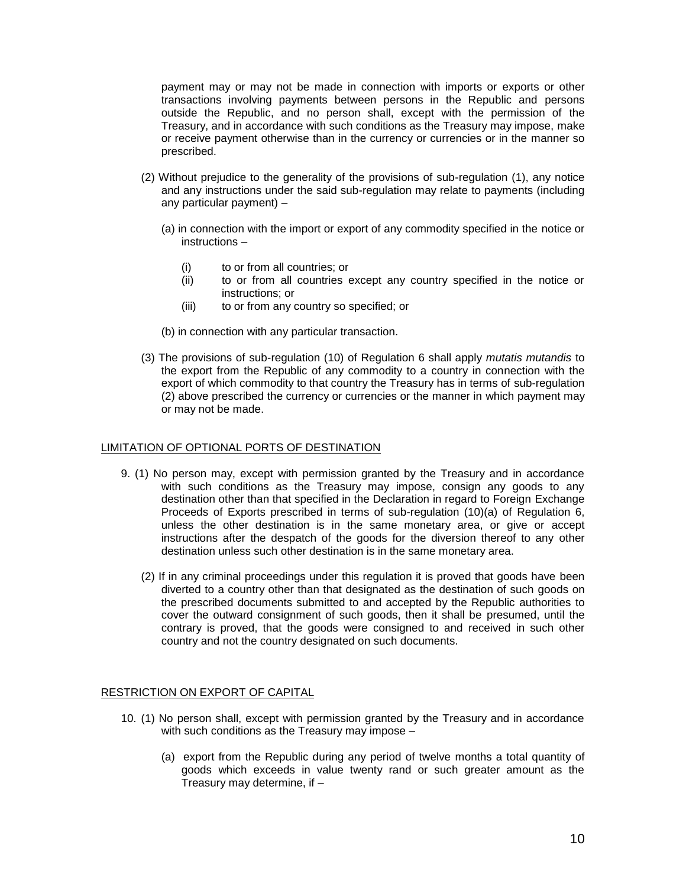payment may or may not be made in connection with imports or exports or other transactions involving payments between persons in the Republic and persons outside the Republic, and no person shall, except with the permission of the Treasury, and in accordance with such conditions as the Treasury may impose, make or receive payment otherwise than in the currency or currencies or in the manner so prescribed.

- (2) Without prejudice to the generality of the provisions of sub-regulation (1), any notice and any instructions under the said sub-regulation may relate to payments (including any particular payment) –
	- (a) in connection with the import or export of any commodity specified in the notice or instructions –
		- (i) to or from all countries; or
		- (ii) to or from all countries except any country specified in the notice or instructions; or
		- (iii) to or from any country so specified; or
	- (b) in connection with any particular transaction.
- (3) The provisions of sub-regulation (10) of Regulation 6 shall apply *mutatis mutandis* to the export from the Republic of any commodity to a country in connection with the export of which commodity to that country the Treasury has in terms of sub-regulation (2) above prescribed the currency or currencies or the manner in which payment may or may not be made.

# LIMITATION OF OPTIONAL PORTS OF DESTINATION

- 9. (1) No person may, except with permission granted by the Treasury and in accordance with such conditions as the Treasury may impose, consign any goods to any destination other than that specified in the Declaration in regard to Foreign Exchange Proceeds of Exports prescribed in terms of sub-regulation (10)(a) of Regulation 6, unless the other destination is in the same monetary area, or give or accept instructions after the despatch of the goods for the diversion thereof to any other destination unless such other destination is in the same monetary area.
	- (2) If in any criminal proceedings under this regulation it is proved that goods have been diverted to a country other than that designated as the destination of such goods on the prescribed documents submitted to and accepted by the Republic authorities to cover the outward consignment of such goods, then it shall be presumed, until the contrary is proved, that the goods were consigned to and received in such other country and not the country designated on such documents.

# RESTRICTION ON EXPORT OF CAPITAL

- 10. (1) No person shall, except with permission granted by the Treasury and in accordance with such conditions as the Treasury may impose –
	- (a) export from the Republic during any period of twelve months a total quantity of goods which exceeds in value twenty rand or such greater amount as the Treasury may determine, if  $-$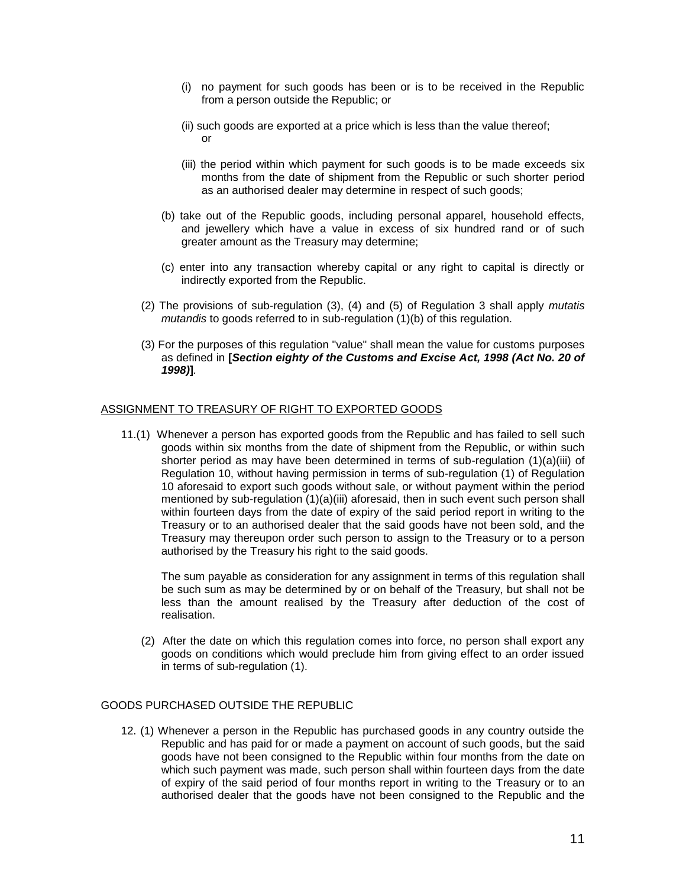- (i) no payment for such goods has been or is to be received in the Republic from a person outside the Republic; or
- (ii) such goods are exported at a price which is less than the value thereof; or
- (iii) the period within which payment for such goods is to be made exceeds six months from the date of shipment from the Republic or such shorter period as an authorised dealer may determine in respect of such goods;
- (b) take out of the Republic goods, including personal apparel, household effects, and jewellery which have a value in excess of six hundred rand or of such greater amount as the Treasury may determine;
- (c) enter into any transaction whereby capital or any right to capital is directly or indirectly exported from the Republic.
- (2) The provisions of sub-regulation (3), (4) and (5) of Regulation 3 shall apply *mutatis mutandis* to goods referred to in sub-regulation (1)(b) of this regulation.
- (3) For the purposes of this regulation "value" shall mean the value for customs purposes as defined in **[***Section eighty of the Customs and Excise Act, 1998 (Act No. 20 of 1998)***]***.*

# ASSIGNMENT TO TREASURY OF RIGHT TO EXPORTED GOODS

11.(1) Whenever a person has exported goods from the Republic and has failed to sell such goods within six months from the date of shipment from the Republic, or within such shorter period as may have been determined in terms of sub-regulation (1)(a)(iii) of Regulation 10, without having permission in terms of sub-regulation (1) of Regulation 10 aforesaid to export such goods without sale, or without payment within the period mentioned by sub-regulation  $(1)(a)(iii)$  aforesaid, then in such event such person shall within fourteen days from the date of expiry of the said period report in writing to the Treasury or to an authorised dealer that the said goods have not been sold, and the Treasury may thereupon order such person to assign to the Treasury or to a person authorised by the Treasury his right to the said goods.

The sum payable as consideration for any assignment in terms of this regulation shall be such sum as may be determined by or on behalf of the Treasury, but shall not be less than the amount realised by the Treasury after deduction of the cost of realisation.

(2) After the date on which this regulation comes into force, no person shall export any goods on conditions which would preclude him from giving effect to an order issued in terms of sub-regulation (1).

# GOODS PURCHASED OUTSIDE THE REPUBLIC

12. (1) Whenever a person in the Republic has purchased goods in any country outside the Republic and has paid for or made a payment on account of such goods, but the said goods have not been consigned to the Republic within four months from the date on which such payment was made, such person shall within fourteen days from the date of expiry of the said period of four months report in writing to the Treasury or to an authorised dealer that the goods have not been consigned to the Republic and the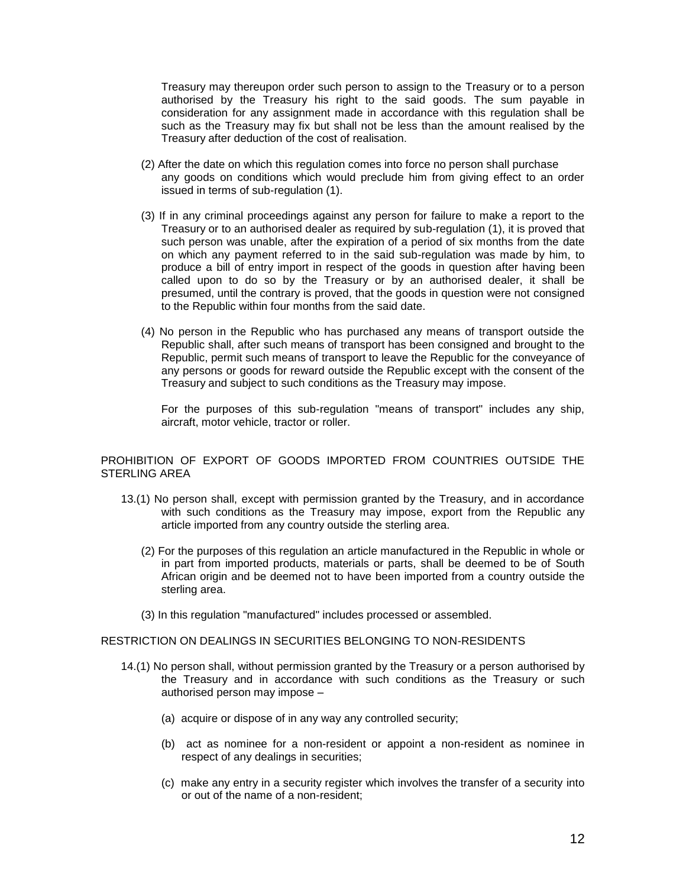Treasury may thereupon order such person to assign to the Treasury or to a person authorised by the Treasury his right to the said goods. The sum payable in consideration for any assignment made in accordance with this regulation shall be such as the Treasury may fix but shall not be less than the amount realised by the Treasury after deduction of the cost of realisation.

- (2) After the date on which this regulation comes into force no person shall purchase any goods on conditions which would preclude him from giving effect to an order issued in terms of sub-regulation (1).
- (3) If in any criminal proceedings against any person for failure to make a report to the Treasury or to an authorised dealer as required by sub-regulation (1), it is proved that such person was unable, after the expiration of a period of six months from the date on which any payment referred to in the said sub-regulation was made by him, to produce a bill of entry import in respect of the goods in question after having been called upon to do so by the Treasury or by an authorised dealer, it shall be presumed, until the contrary is proved, that the goods in question were not consigned to the Republic within four months from the said date.
- (4) No person in the Republic who has purchased any means of transport outside the Republic shall, after such means of transport has been consigned and brought to the Republic, permit such means of transport to leave the Republic for the conveyance of any persons or goods for reward outside the Republic except with the consent of the Treasury and subject to such conditions as the Treasury may impose.

For the purposes of this sub-regulation "means of transport" includes any ship, aircraft, motor vehicle, tractor or roller.

PROHIBITION OF EXPORT OF GOODS IMPORTED FROM COUNTRIES OUTSIDE THE STERLING AREA

- 13.(1) No person shall, except with permission granted by the Treasury, and in accordance with such conditions as the Treasury may impose, export from the Republic any article imported from any country outside the sterling area.
	- (2) For the purposes of this regulation an article manufactured in the Republic in whole or in part from imported products, materials or parts, shall be deemed to be of South African origin and be deemed not to have been imported from a country outside the sterling area.
	- (3) In this regulation "manufactured" includes processed or assembled.

# RESTRICTION ON DEALINGS IN SECURITIES BELONGING TO NON-RESIDENTS

- 14.(1) No person shall, without permission granted by the Treasury or a person authorised by the Treasury and in accordance with such conditions as the Treasury or such authorised person may impose –
	- (a) acquire or dispose of in any way any controlled security;
	- (b) act as nominee for a non-resident or appoint a non-resident as nominee in respect of any dealings in securities;
	- (c) make any entry in a security register which involves the transfer of a security into or out of the name of a non-resident;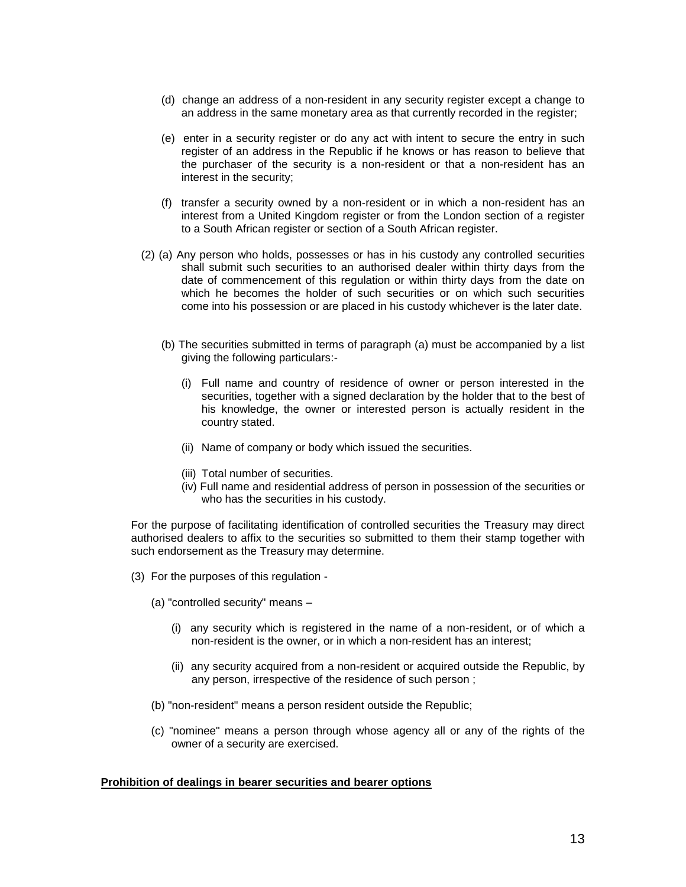- (d) change an address of a non-resident in any security register except a change to an address in the same monetary area as that currently recorded in the register;
- (e) enter in a security register or do any act with intent to secure the entry in such register of an address in the Republic if he knows or has reason to believe that the purchaser of the security is a non-resident or that a non-resident has an interest in the security;
- (f) transfer a security owned by a non-resident or in which a non-resident has an interest from a United Kingdom register or from the London section of a register to a South African register or section of a South African register.
- (2) (a) Any person who holds, possesses or has in his custody any controlled securities shall submit such securities to an authorised dealer within thirty days from the date of commencement of this regulation or within thirty days from the date on which he becomes the holder of such securities or on which such securities come into his possession or are placed in his custody whichever is the later date.
	- (b) The securities submitted in terms of paragraph (a) must be accompanied by a list giving the following particulars:-
		- (i) Full name and country of residence of owner or person interested in the securities, together with a signed declaration by the holder that to the best of his knowledge, the owner or interested person is actually resident in the country stated.
		- (ii) Name of company or body which issued the securities.
		- (iii) Total number of securities.
		- (iv) Full name and residential address of person in possession of the securities or who has the securities in his custody.

For the purpose of facilitating identification of controlled securities the Treasury may direct authorised dealers to affix to the securities so submitted to them their stamp together with such endorsement as the Treasury may determine.

- (3) For the purposes of this regulation
	- (a) "controlled security" means
		- (i) any security which is registered in the name of a non-resident, or of which a non-resident is the owner, or in which a non-resident has an interest;
		- (ii) any security acquired from a non-resident or acquired outside the Republic, by any person, irrespective of the residence of such person ;
	- (b) "non-resident" means a person resident outside the Republic;
	- (c) "nominee" means a person through whose agency all or any of the rights of the owner of a security are exercised.

# **Prohibition of dealings in bearer securities and bearer options**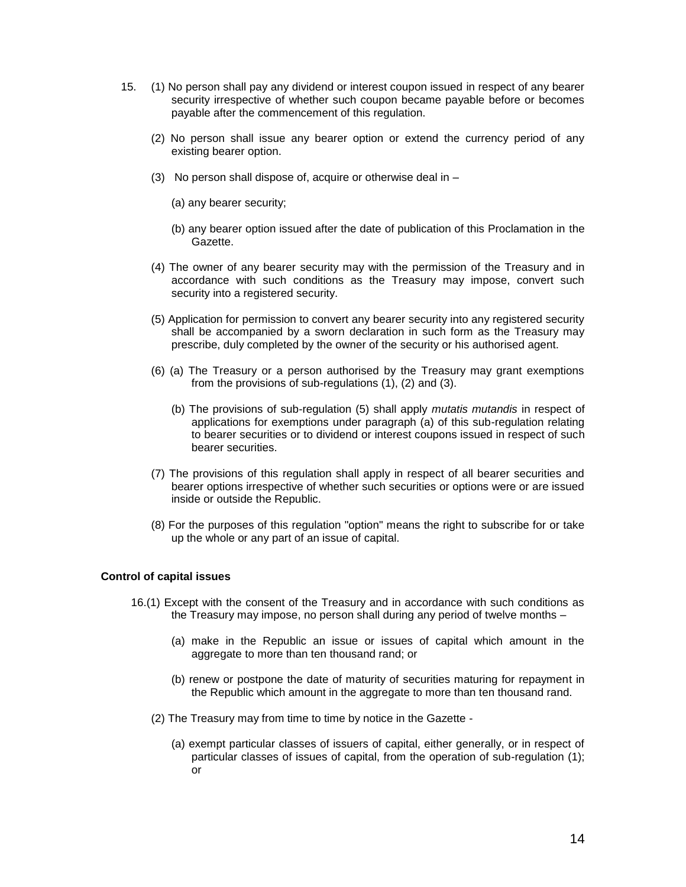- 15. (1) No person shall pay any dividend or interest coupon issued in respect of any bearer security irrespective of whether such coupon became payable before or becomes payable after the commencement of this regulation.
	- (2) No person shall issue any bearer option or extend the currency period of any existing bearer option.
	- (3) No person shall dispose of, acquire or otherwise deal in
		- (a) any bearer security;
		- (b) any bearer option issued after the date of publication of this Proclamation in the Gazette.
	- (4) The owner of any bearer security may with the permission of the Treasury and in accordance with such conditions as the Treasury may impose, convert such security into a registered security.
	- (5) Application for permission to convert any bearer security into any registered security shall be accompanied by a sworn declaration in such form as the Treasury may prescribe, duly completed by the owner of the security or his authorised agent.
	- (6) (a) The Treasury or a person authorised by the Treasury may grant exemptions from the provisions of sub-regulations (1), (2) and (3).
		- (b) The provisions of sub-regulation (5) shall apply *mutatis mutandis* in respect of applications for exemptions under paragraph (a) of this sub-regulation relating to bearer securities or to dividend or interest coupons issued in respect of such bearer securities.
	- (7) The provisions of this regulation shall apply in respect of all bearer securities and bearer options irrespective of whether such securities or options were or are issued inside or outside the Republic.
	- (8) For the purposes of this regulation "option" means the right to subscribe for or take up the whole or any part of an issue of capital.

# **Control of capital issues**

- 16.(1) Except with the consent of the Treasury and in accordance with such conditions as the Treasury may impose, no person shall during any period of twelve months –
	- (a) make in the Republic an issue or issues of capital which amount in the aggregate to more than ten thousand rand; or
	- (b) renew or postpone the date of maturity of securities maturing for repayment in the Republic which amount in the aggregate to more than ten thousand rand.
	- (2) The Treasury may from time to time by notice in the Gazette
		- (a) exempt particular classes of issuers of capital, either generally, or in respect of particular classes of issues of capital, from the operation of sub-regulation (1); or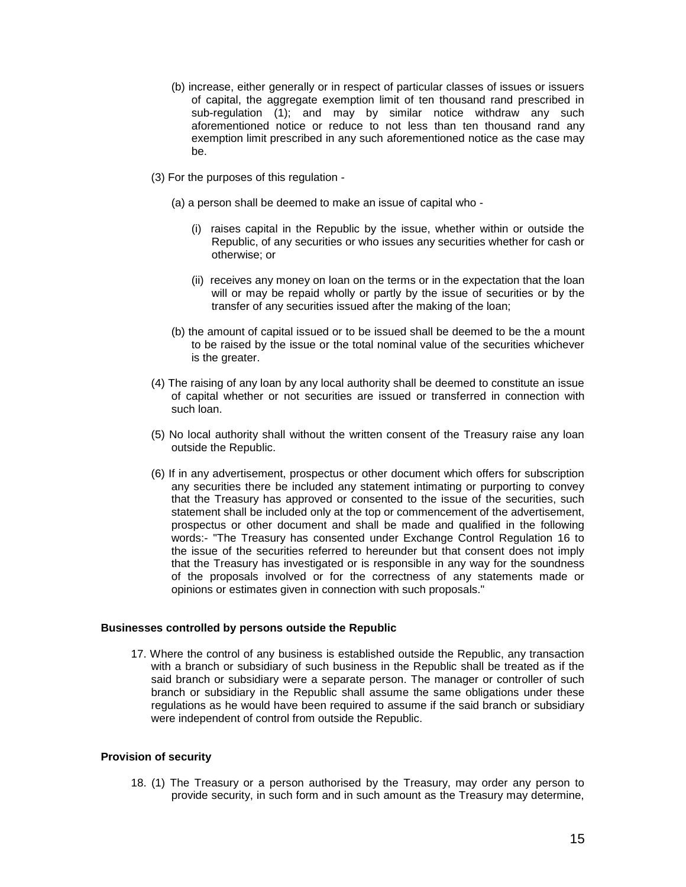- (b) increase, either generally or in respect of particular classes of issues or issuers of capital, the aggregate exemption limit of ten thousand rand prescribed in sub-regulation (1); and may by similar notice withdraw any such aforementioned notice or reduce to not less than ten thousand rand any exemption limit prescribed in any such aforementioned notice as the case may be.
- (3) For the purposes of this regulation
	- (a) a person shall be deemed to make an issue of capital who
		- (i) raises capital in the Republic by the issue, whether within or outside the Republic, of any securities or who issues any securities whether for cash or otherwise; or
		- (ii) receives any money on loan on the terms or in the expectation that the loan will or may be repaid wholly or partly by the issue of securities or by the transfer of any securities issued after the making of the loan;
	- (b) the amount of capital issued or to be issued shall be deemed to be the a mount to be raised by the issue or the total nominal value of the securities whichever is the greater.
- (4) The raising of any loan by any local authority shall be deemed to constitute an issue of capital whether or not securities are issued or transferred in connection with such loan.
- (5) No local authority shall without the written consent of the Treasury raise any loan outside the Republic.
- (6) If in any advertisement, prospectus or other document which offers for subscription any securities there be included any statement intimating or purporting to convey that the Treasury has approved or consented to the issue of the securities, such statement shall be included only at the top or commencement of the advertisement, prospectus or other document and shall be made and qualified in the following words:- "The Treasury has consented under Exchange Control Regulation 16 to the issue of the securities referred to hereunder but that consent does not imply that the Treasury has investigated or is responsible in any way for the soundness of the proposals involved or for the correctness of any statements made or opinions or estimates given in connection with such proposals."

# **Businesses controlled by persons outside the Republic**

17. Where the control of any business is established outside the Republic, any transaction with a branch or subsidiary of such business in the Republic shall be treated as if the said branch or subsidiary were a separate person. The manager or controller of such branch or subsidiary in the Republic shall assume the same obligations under these regulations as he would have been required to assume if the said branch or subsidiary were independent of control from outside the Republic.

#### **Provision of security**

18. (1) The Treasury or a person authorised by the Treasury, may order any person to provide security, in such form and in such amount as the Treasury may determine,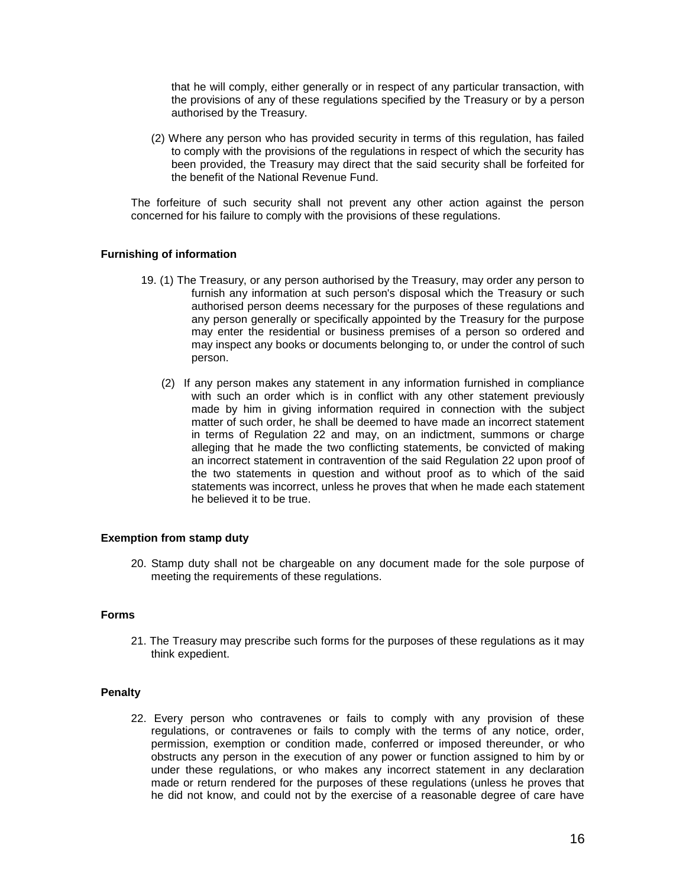that he will comply, either generally or in respect of any particular transaction, with the provisions of any of these regulations specified by the Treasury or by a person authorised by the Treasury.

(2) Where any person who has provided security in terms of this regulation, has failed to comply with the provisions of the regulations in respect of which the security has been provided, the Treasury may direct that the said security shall be forfeited for the benefit of the National Revenue Fund.

The forfeiture of such security shall not prevent any other action against the person concerned for his failure to comply with the provisions of these regulations.

### **Furnishing of information**

- 19. (1) The Treasury, or any person authorised by the Treasury, may order any person to furnish any information at such person's disposal which the Treasury or such authorised person deems necessary for the purposes of these regulations and any person generally or specifically appointed by the Treasury for the purpose may enter the residential or business premises of a person so ordered and may inspect any books or documents belonging to, or under the control of such person.
	- (2) If any person makes any statement in any information furnished in compliance with such an order which is in conflict with any other statement previously made by him in giving information required in connection with the subject matter of such order, he shall be deemed to have made an incorrect statement in terms of Regulation 22 and may, on an indictment, summons or charge alleging that he made the two conflicting statements, be convicted of making an incorrect statement in contravention of the said Regulation 22 upon proof of the two statements in question and without proof as to which of the said statements was incorrect, unless he proves that when he made each statement he believed it to be true.

### **Exemption from stamp duty**

20. Stamp duty shall not be chargeable on any document made for the sole purpose of meeting the requirements of these regulations.

#### **Forms**

21. The Treasury may prescribe such forms for the purposes of these regulations as it may think expedient.

### **Penalty**

22. Every person who contravenes or fails to comply with any provision of these regulations, or contravenes or fails to comply with the terms of any notice, order, permission, exemption or condition made, conferred or imposed thereunder, or who obstructs any person in the execution of any power or function assigned to him by or under these regulations, or who makes any incorrect statement in any declaration made or return rendered for the purposes of these regulations (unless he proves that he did not know, and could not by the exercise of a reasonable degree of care have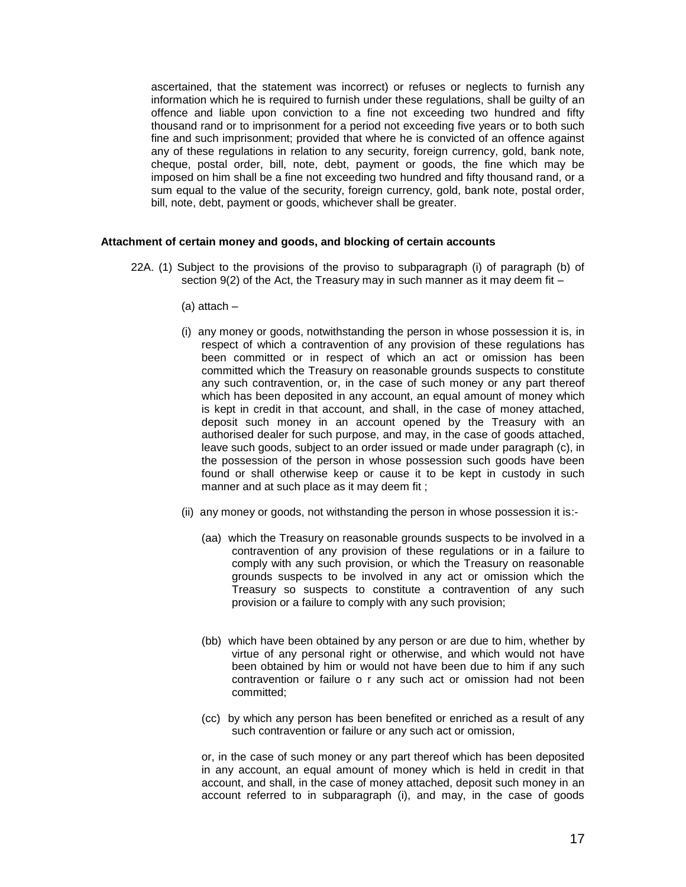ascertained, that the statement was incorrect) or refuses or neglects to furnish any information which he is required to furnish under these regulations, shall be guilty of an offence and liable upon conviction to a fine not exceeding two hundred and fifty thousand rand or to imprisonment for a period not exceeding five years or to both such fine and such imprisonment; provided that where he is convicted of an offence against any of these regulations in relation to any security, foreign currency, gold, bank note, cheque, postal order, bill, note, debt, payment or goods, the fine which may be imposed on him shall be a fine not exceeding two hundred and fifty thousand rand, or a sum equal to the value of the security, foreign currency, gold, bank note, postal order, bill, note, debt, payment or goods, whichever shall be greater.

# **Attachment of certain money and goods, and blocking of certain accounts**

- 22A. (1) Subject to the provisions of the proviso to subparagraph (i) of paragraph (b) of section 9(2) of the Act, the Treasury may in such manner as it may deem fit –
	- (a) attach –
	- (i) any money or goods, notwithstanding the person in whose possession it is, in respect of which a contravention of any provision of these regulations has been committed or in respect of which an act or omission has been committed which the Treasury on reasonable grounds suspects to constitute any such contravention, or, in the case of such money or any part thereof which has been deposited in any account, an equal amount of money which is kept in credit in that account, and shall, in the case of money attached, deposit such money in an account opened by the Treasury with an authorised dealer for such purpose, and may, in the case of goods attached, leave such goods, subject to an order issued or made under paragraph (c), in the possession of the person in whose possession such goods have been found or shall otherwise keep or cause it to be kept in custody in such manner and at such place as it may deem fit ;
	- (ii) any money or goods, not withstanding the person in whose possession it is:-
		- (aa) which the Treasury on reasonable grounds suspects to be involved in a contravention of any provision of these regulations or in a failure to comply with any such provision, or which the Treasury on reasonable grounds suspects to be involved in any act or omission which the Treasury so suspects to constitute a contravention of any such provision or a failure to comply with any such provision;
		- (bb) which have been obtained by any person or are due to him, whether by virtue of any personal right or otherwise, and which would not have been obtained by him or would not have been due to him if any such contravention or failure o r any such act or omission had not been committed;
		- (cc) by which any person has been benefited or enriched as a result of any such contravention or failure or any such act or omission,

or, in the case of such money or any part thereof which has been deposited in any account, an equal amount of money which is held in credit in that account, and shall, in the case of money attached, deposit such money in an account referred to in subparagraph (i), and may, in the case of goods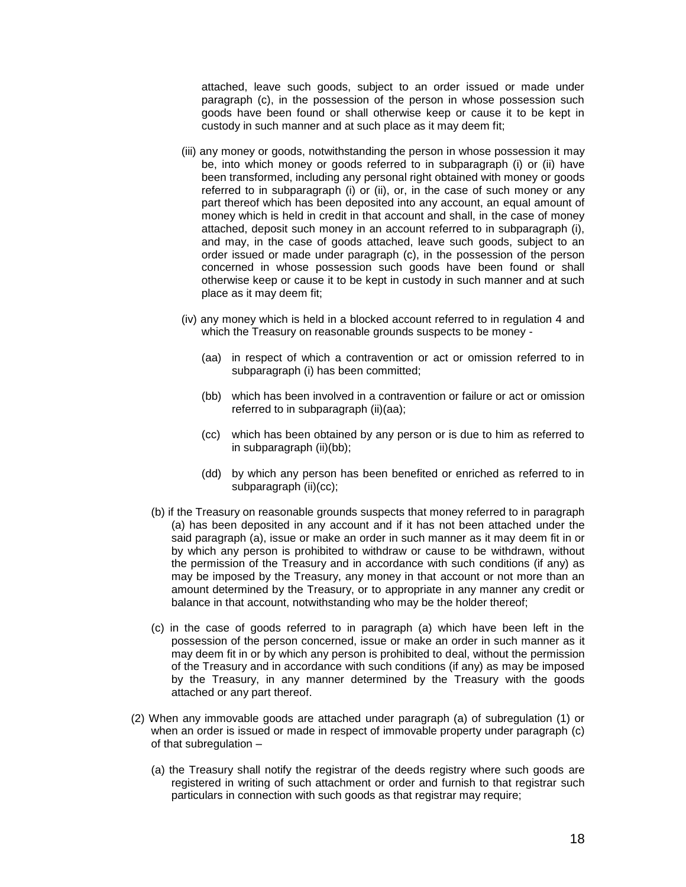attached, leave such goods, subject to an order issued or made under paragraph (c), in the possession of the person in whose possession such goods have been found or shall otherwise keep or cause it to be kept in custody in such manner and at such place as it may deem fit;

- (iii) any money or goods, notwithstanding the person in whose possession it may be, into which money or goods referred to in subparagraph (i) or (ii) have been transformed, including any personal right obtained with money or goods referred to in subparagraph (i) or (ii), or, in the case of such money or any part thereof which has been deposited into any account, an equal amount of money which is held in credit in that account and shall, in the case of money attached, deposit such money in an account referred to in subparagraph (i), and may, in the case of goods attached, leave such goods, subject to an order issued or made under paragraph (c), in the possession of the person concerned in whose possession such goods have been found or shall otherwise keep or cause it to be kept in custody in such manner and at such place as it may deem fit;
- (iv) any money which is held in a blocked account referred to in regulation 4 and which the Treasury on reasonable grounds suspects to be money -
	- (aa) in respect of which a contravention or act or omission referred to in subparagraph (i) has been committed;
	- (bb) which has been involved in a contravention or failure or act or omission referred to in subparagraph (ii)(aa);
	- (cc) which has been obtained by any person or is due to him as referred to in subparagraph (ii)(bb);
	- (dd) by which any person has been benefited or enriched as referred to in subparagraph (ii)(cc);
- (b) if the Treasury on reasonable grounds suspects that money referred to in paragraph (a) has been deposited in any account and if it has not been attached under the said paragraph (a), issue or make an order in such manner as it may deem fit in or by which any person is prohibited to withdraw or cause to be withdrawn, without the permission of the Treasury and in accordance with such conditions (if any) as may be imposed by the Treasury, any money in that account or not more than an amount determined by the Treasury, or to appropriate in any manner any credit or balance in that account, notwithstanding who may be the holder thereof;
- (c) in the case of goods referred to in paragraph (a) which have been left in the possession of the person concerned, issue or make an order in such manner as it may deem fit in or by which any person is prohibited to deal, without the permission of the Treasury and in accordance with such conditions (if any) as may be imposed by the Treasury, in any manner determined by the Treasury with the goods attached or any part thereof.
- (2) When any immovable goods are attached under paragraph (a) of subregulation (1) or when an order is issued or made in respect of immovable property under paragraph (c) of that subregulation –
	- (a) the Treasury shall notify the registrar of the deeds registry where such goods are registered in writing of such attachment or order and furnish to that registrar such particulars in connection with such goods as that registrar may require;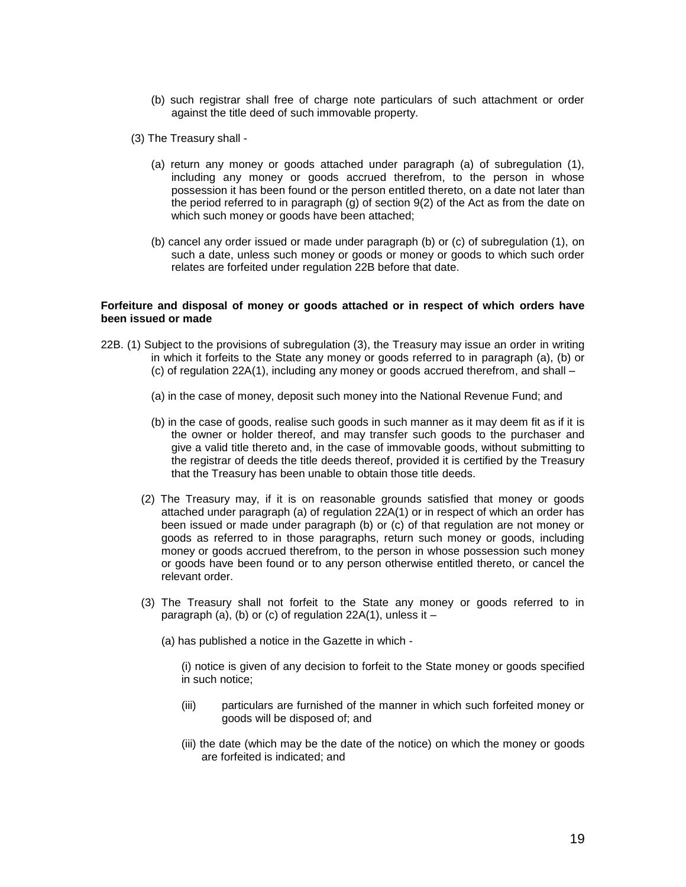- (b) such registrar shall free of charge note particulars of such attachment or order against the title deed of such immovable property.
- (3) The Treasury shall
	- (a) return any money or goods attached under paragraph (a) of subregulation (1), including any money or goods accrued therefrom, to the person in whose possession it has been found or the person entitled thereto, on a date not later than the period referred to in paragraph (g) of section 9(2) of the Act as from the date on which such money or goods have been attached;
	- (b) cancel any order issued or made under paragraph (b) or (c) of subregulation (1), on such a date, unless such money or goods or money or goods to which such order relates are forfeited under regulation 22B before that date.

### **Forfeiture and disposal of money or goods attached or in respect of which orders have been issued or made**

- 22B. (1) Subject to the provisions of subregulation (3), the Treasury may issue an order in writing in which it forfeits to the State any money or goods referred to in paragraph (a), (b) or (c) of regulation 22A(1), including any money or goods accrued therefrom, and shall –
	- (a) in the case of money, deposit such money into the National Revenue Fund; and
	- (b) in the case of goods, realise such goods in such manner as it may deem fit as if it is the owner or holder thereof, and may transfer such goods to the purchaser and give a valid title thereto and, in the case of immovable goods, without submitting to the registrar of deeds the title deeds thereof, provided it is certified by the Treasury that the Treasury has been unable to obtain those title deeds.
	- (2) The Treasury may, if it is on reasonable grounds satisfied that money or goods attached under paragraph (a) of regulation 22A(1) or in respect of which an order has been issued or made under paragraph (b) or (c) of that regulation are not money or goods as referred to in those paragraphs, return such money or goods, including money or goods accrued therefrom, to the person in whose possession such money or goods have been found or to any person otherwise entitled thereto, or cancel the relevant order.
	- (3) The Treasury shall not forfeit to the State any money or goods referred to in paragraph (a), (b) or (c) of regulation 22A(1), unless it –
		- (a) has published a notice in the Gazette in which -

(i) notice is given of any decision to forfeit to the State money or goods specified in such notice;

- (iii) particulars are furnished of the manner in which such forfeited money or goods will be disposed of; and
- (iii) the date (which may be the date of the notice) on which the money or goods are forfeited is indicated; and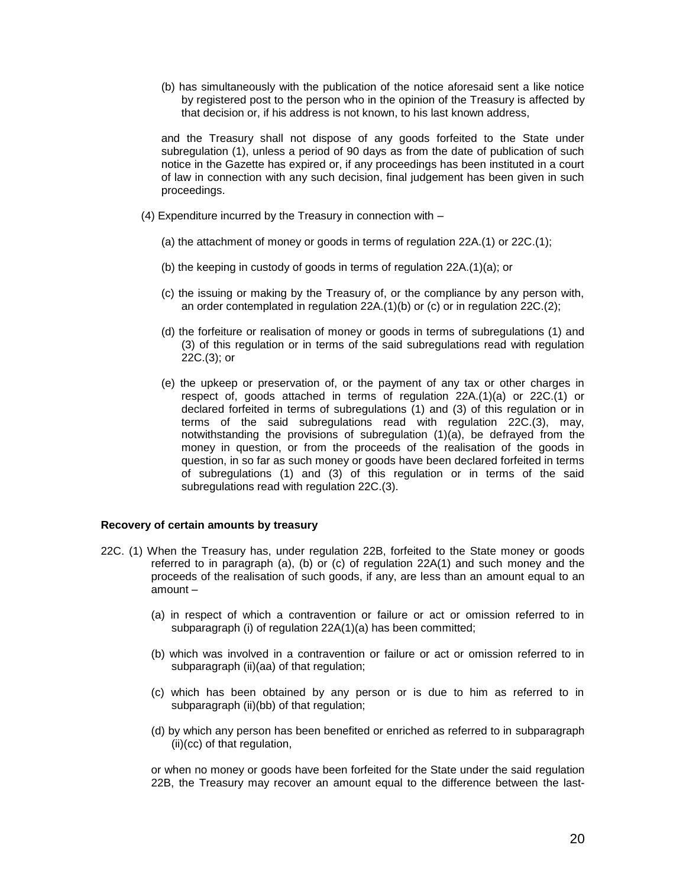(b) has simultaneously with the publication of the notice aforesaid sent a like notice by registered post to the person who in the opinion of the Treasury is affected by that decision or, if his address is not known, to his last known address,

and the Treasury shall not dispose of any goods forfeited to the State under subregulation (1), unless a period of 90 days as from the date of publication of such notice in the Gazette has expired or, if any proceedings has been instituted in a court of law in connection with any such decision, final judgement has been given in such proceedings.

- (4) Expenditure incurred by the Treasury in connection with
	- (a) the attachment of money or goods in terms of regulation 22A.(1) or 22C.(1);
	- (b) the keeping in custody of goods in terms of regulation 22A.(1)(a); or
	- (c) the issuing or making by the Treasury of, or the compliance by any person with, an order contemplated in regulation 22A.(1)(b) or (c) or in regulation 22C.(2);
	- (d) the forfeiture or realisation of money or goods in terms of subregulations (1) and (3) of this regulation or in terms of the said subregulations read with regulation 22C.(3); or
	- (e) the upkeep or preservation of, or the payment of any tax or other charges in respect of, goods attached in terms of regulation 22A.(1)(a) or 22C.(1) or declared forfeited in terms of subregulations (1) and (3) of this regulation or in terms of the said subregulations read with regulation 22C.(3), may, notwithstanding the provisions of subregulation (1)(a), be defrayed from the money in question, or from the proceeds of the realisation of the goods in question, in so far as such money or goods have been declared forfeited in terms of subregulations (1) and (3) of this regulation or in terms of the said subregulations read with regulation 22C.(3).

# **Recovery of certain amounts by treasury**

- 22C. (1) When the Treasury has, under regulation 22B, forfeited to the State money or goods referred to in paragraph (a), (b) or (c) of regulation 22A(1) and such money and the proceeds of the realisation of such goods, if any, are less than an amount equal to an amount –
	- (a) in respect of which a contravention or failure or act or omission referred to in subparagraph (i) of regulation 22A(1)(a) has been committed;
	- (b) which was involved in a contravention or failure or act or omission referred to in subparagraph (ii)(aa) of that regulation;
	- (c) which has been obtained by any person or is due to him as referred to in subparagraph (ii)(bb) of that regulation;
	- (d) by which any person has been benefited or enriched as referred to in subparagraph (ii)(cc) of that regulation,

or when no money or goods have been forfeited for the State under the said regulation 22B, the Treasury may recover an amount equal to the difference between the last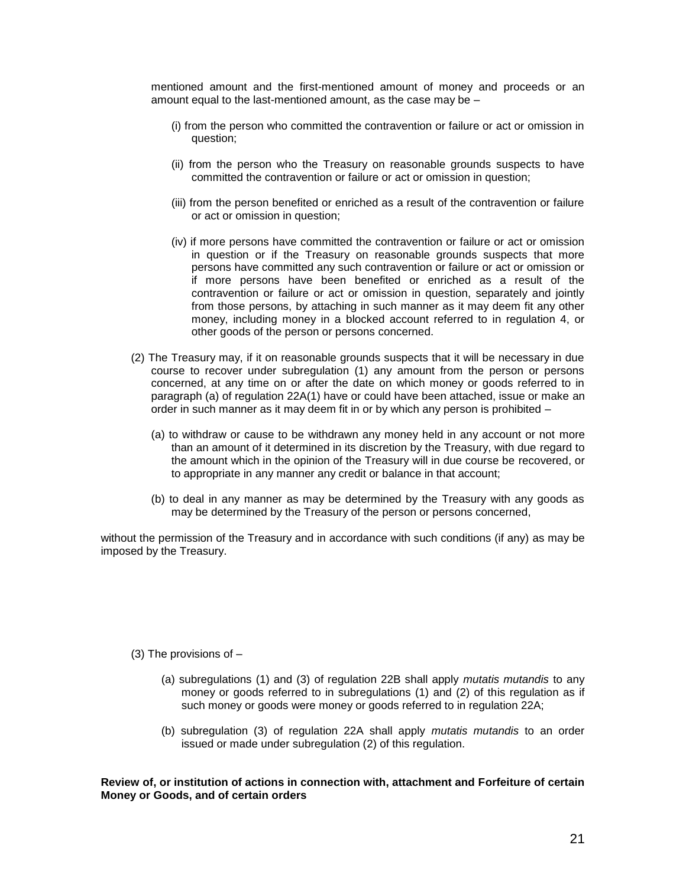mentioned amount and the first-mentioned amount of money and proceeds or an amount equal to the last-mentioned amount, as the case may be –

- (i) from the person who committed the contravention or failure or act or omission in question;
- (ii) from the person who the Treasury on reasonable grounds suspects to have committed the contravention or failure or act or omission in question;
- (iii) from the person benefited or enriched as a result of the contravention or failure or act or omission in question;
- (iv) if more persons have committed the contravention or failure or act or omission in question or if the Treasury on reasonable grounds suspects that more persons have committed any such contravention or failure or act or omission or if more persons have been benefited or enriched as a result of the contravention or failure or act or omission in question, separately and jointly from those persons, by attaching in such manner as it may deem fit any other money, including money in a blocked account referred to in regulation 4, or other goods of the person or persons concerned.
- (2) The Treasury may, if it on reasonable grounds suspects that it will be necessary in due course to recover under subregulation (1) any amount from the person or persons concerned, at any time on or after the date on which money or goods referred to in paragraph (a) of regulation 22A(1) have or could have been attached, issue or make an order in such manner as it may deem fit in or by which any person is prohibited –
	- (a) to withdraw or cause to be withdrawn any money held in any account or not more than an amount of it determined in its discretion by the Treasury, with due regard to the amount which in the opinion of the Treasury will in due course be recovered, or to appropriate in any manner any credit or balance in that account;
	- (b) to deal in any manner as may be determined by the Treasury with any goods as may be determined by the Treasury of the person or persons concerned,

without the permission of the Treasury and in accordance with such conditions (if any) as may be imposed by the Treasury.

(3) The provisions of  $-$ 

- (a) subregulations (1) and (3) of regulation 22B shall apply *mutatis mutandis* to any money or goods referred to in subregulations (1) and (2) of this regulation as if such money or goods were money or goods referred to in regulation 22A;
- (b) subregulation (3) of regulation 22A shall apply *mutatis mutandis* to an order issued or made under subregulation (2) of this regulation.

**Review of, or institution of actions in connection with, attachment and Forfeiture of certain Money or Goods, and of certain orders**